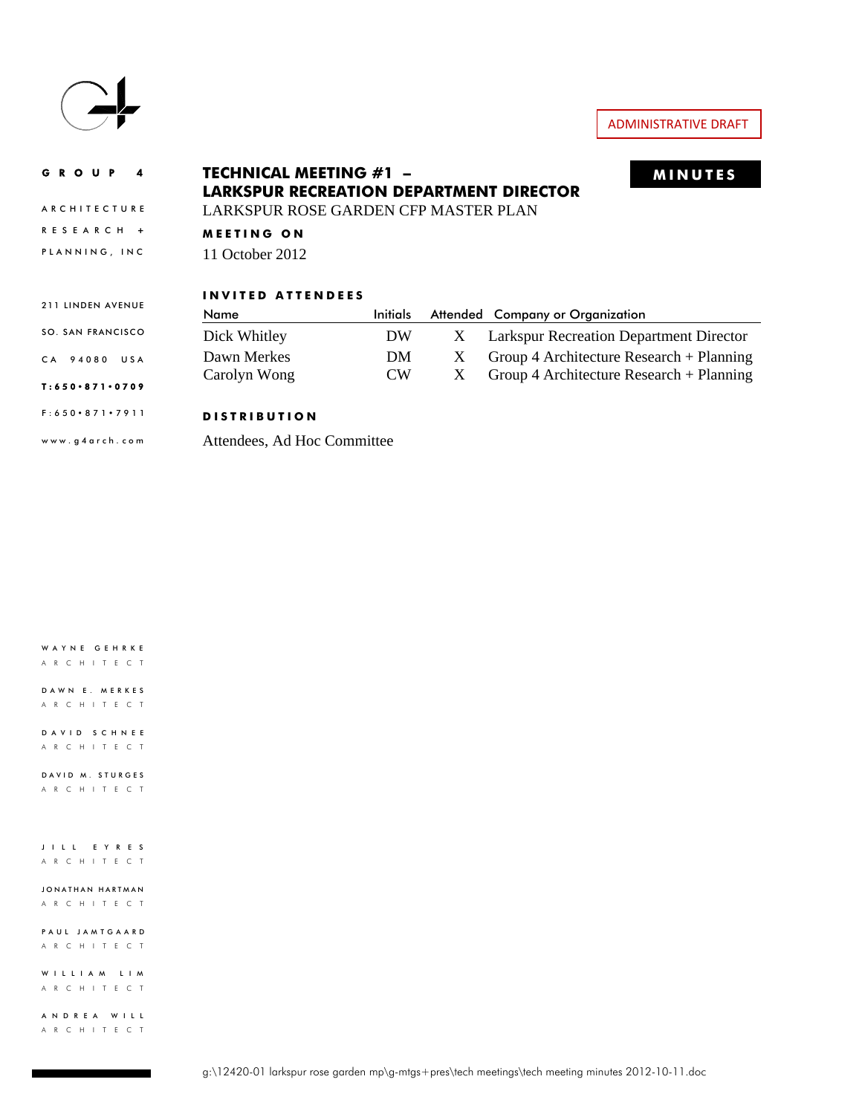

ARCHITECTURE

#### GROUP 4 **MINUTES TECHNICAL MEETING #1 – LARKSPUR RECREATION DEPARTMENT DIRECTOR**

LARKSPUR ROSE GARDEN CFP MASTER PLAN

RESEARCH **+ MEETING ON** 

PLANNING, INC 11 October 2012

#### **INVITED ATTENDEES**

| 211 LINDEN AVENUE | INVIIEU AIIENDEES |                 |   |                                                |
|-------------------|-------------------|-----------------|---|------------------------------------------------|
|                   | Name              | <b>Initials</b> |   | Attended Company or Organization               |
| SO. SAN FRANCISCO | Dick Whitley      | DW              | X | <b>Larkspur Recreation Department Director</b> |
| CA 94080 USA      | Dawn Merkes       | DM              |   | Group 4 Architecture Research $+$ Planning     |
|                   | Carolyn Wong      | $\mathcal{C}W$  |   | Group 4 Architecture Research $+$ Planning     |

#### T:650 · 871 · 0709

#### F:650 871 7911 **DISTRIBUTION**

www.g4arch.com

Attendees, Ad Hoc Committee

WAYNE GEHRKE ARCHITECT

DAWN E. MERKES ARCHITECT

DAVID SCHNEE ARCHITECT

DAVID M. STURGES ARCHITECT

JILL EYRES ARCHITECT

JONATHAN HARTMAN ARCHITECT

PAUL JAMTGAARD ARCHITECT

WILLIAM LIM ARCHITECT

ANDREA WILL ARCHITECT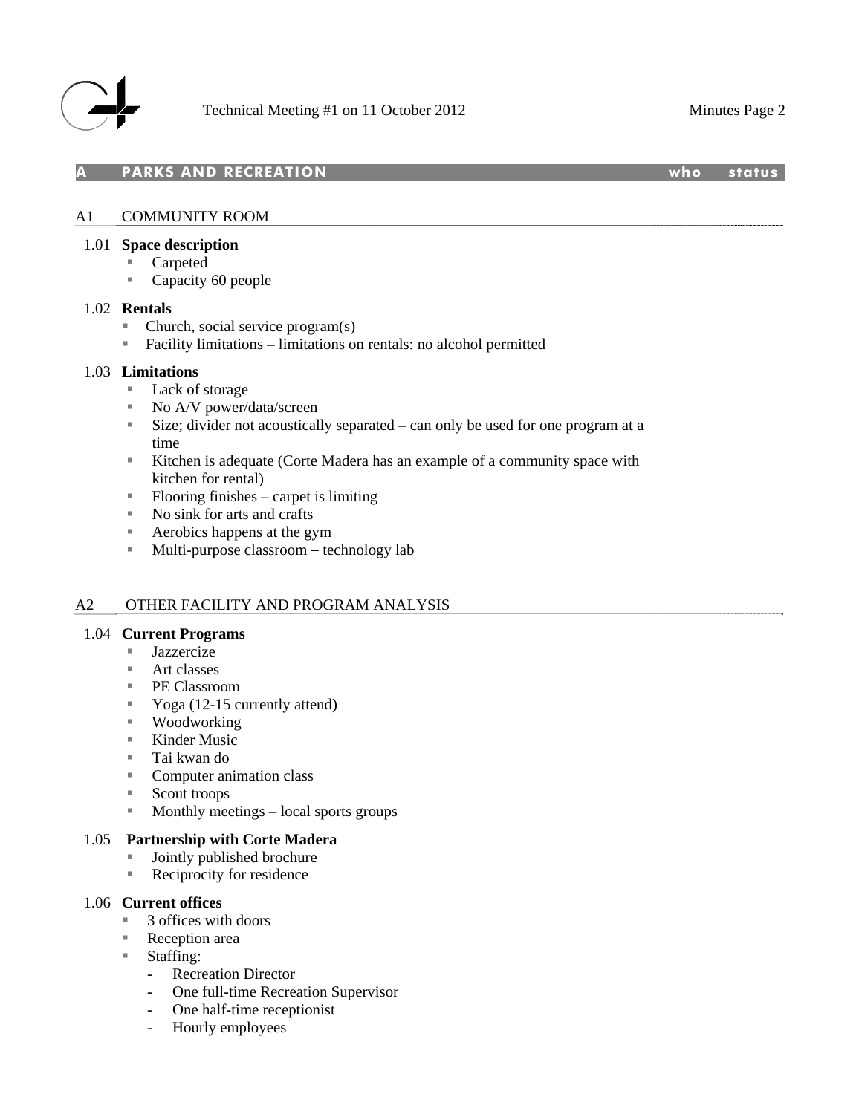

**PARKS AND RECREATION WE SEE ALCOHOLY AND STATUS** 

## A1 COMMUNITY ROOM

#### 1.01 **Space description**

- Carpeted
- Capacity 60 people

#### 1.02 **Rentals**

- $\blacksquare$  Church, social service program(s)
- $\blacksquare$  Facility limitations limitations on rentals: no alcohol permitted

#### 1.03 **Limitations**

- Lack of storage
- No A/V power/data/screen
- Size; divider not acoustically separated can only be used for one program at a time
- Kitchen is adequate (Corte Madera has an example of a community space with kitchen for rental)
- $\blacksquare$  Flooring finishes carpet is limiting
- No sink for arts and crafts
- Aerobics happens at the gym
- Multi-purpose classroom technology lab

#### A2 OTHER FACILITY AND PROGRAM ANALYSIS

#### 1.04 **Current Programs**

- Jazzercize
- $Art$  classes
- PE Classroom
- Yoga  $(12-15$  currently attend)
- Woodworking
- $\blacksquare$  Kinder Music
- Tai kwan do
- Computer animation class
- Scout troops
- **Monthly meetings local sports groups**

#### 1.05 **Partnership with Corte Madera**

- Jointly published brochure
- Reciprocity for residence

#### 1.06 **Current offices**

- 3 offices with doors
- Reception area
- Staffing:
	- Recreation Director
	- One full-time Recreation Supervisor
	- One half-time receptionist
	- Hourly employees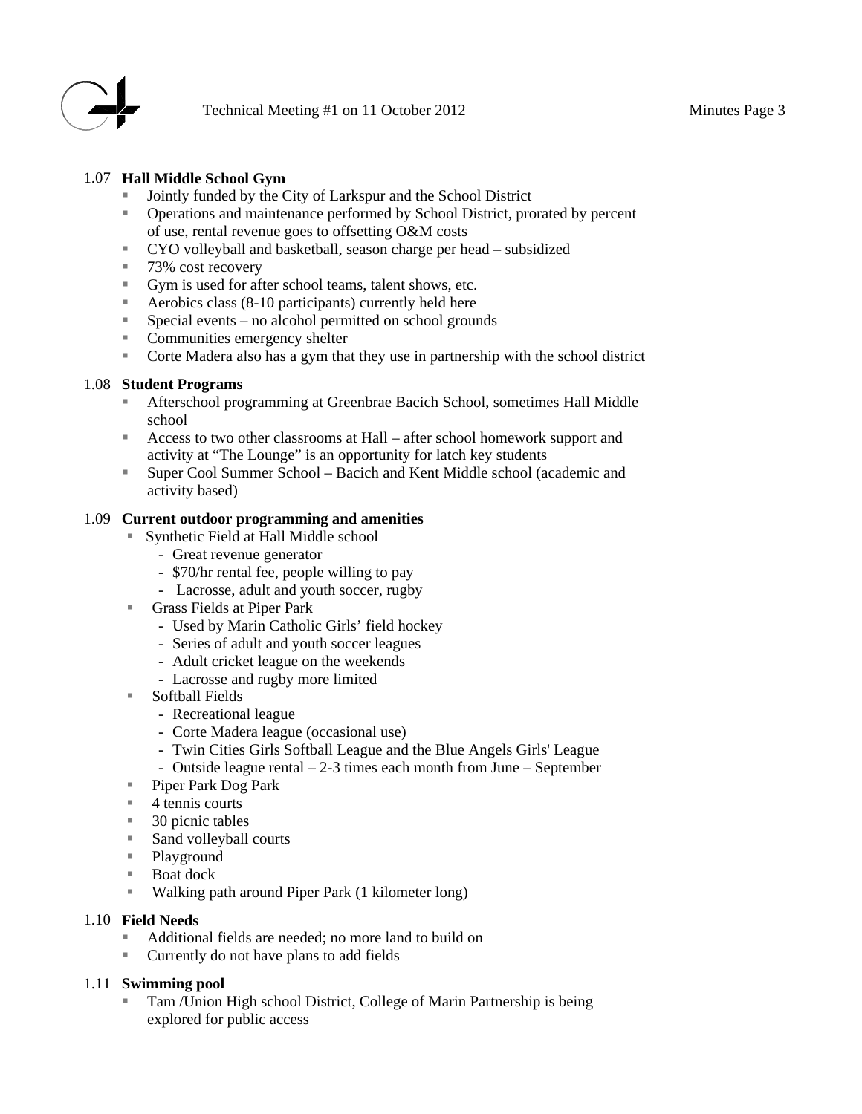

# 1.07 **Hall Middle School Gym**

- Jointly funded by the City of Larkspur and the School District
- Operations and maintenance performed by School District, prorated by percent of use, rental revenue goes to offsetting O&M costs
- CYO volleyball and basketball, season charge per head subsidized
- 73% cost recovery
- Gym is used for after school teams, talent shows, etc.
- Aerobics class (8-10 participants) currently held here
- $\blacksquare$  Special events no alcohol permitted on school grounds
- Communities emergency shelter
- Corte Madera also has a gym that they use in partnership with the school district

#### 1.08 **Student Programs**

- Afterschool programming at Greenbrae Bacich School, sometimes Hall Middle school
- Access to two other classrooms at Hall after school homework support and activity at "The Lounge" is an opportunity for latch key students
- Super Cool Summer School Bacich and Kent Middle school (academic and activity based)

# 1.09 **Current outdoor programming and amenities**

- Synthetic Field at Hall Middle school
	- Great revenue generator
	- \$70/hr rental fee, people willing to pay
	- Lacrosse, adult and youth soccer, rugby
- Grass Fields at Piper Park
	- Used by Marin Catholic Girls' field hockey
	- Series of adult and youth soccer leagues
	- Adult cricket league on the weekends
	- Lacrosse and rugby more limited
- Softball Fields
	- Recreational league
	- Corte Madera league (occasional use)
	- Twin Cities Girls Softball League and the Blue Angels Girls' League
	- Outside league rental 2-3 times each month from June September
- Piper Park Dog Park
- $\blacksquare$  4 tennis courts
- $\blacksquare$  30 picnic tables
- Sand volleyball courts
- Playground
- Boat dock
- Walking path around Piper Park (1 kilometer long)

## 1.10 **Field Needs**

- Additional fields are needed; no more land to build on
- Currently do not have plans to add fields

# 1.11 **Swimming pool**

 Tam /Union High school District, College of Marin Partnership is being explored for public access